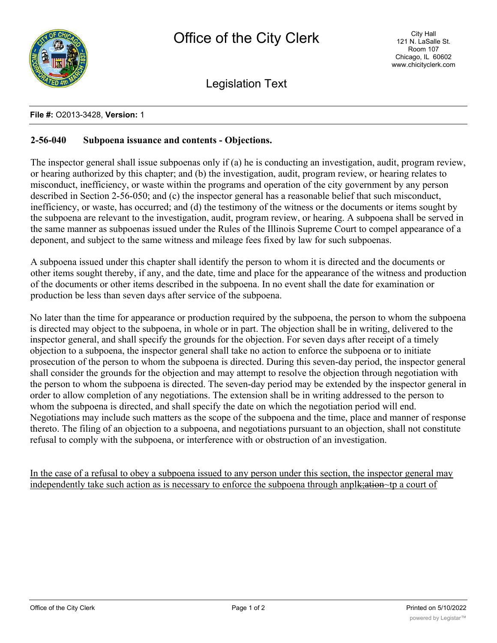

Legislation Text

## **File #:** O2013-3428, **Version:** 1

## **2-56-040 Subpoena issuance and contents - Objections.**

The inspector general shall issue subpoenas only if (a) he is conducting an investigation, audit, program review, or hearing authorized by this chapter; and (b) the investigation, audit, program review, or hearing relates to misconduct, inefficiency, or waste within the programs and operation of the city government by any person described in Section 2-56-050; and (c) the inspector general has a reasonable belief that such misconduct, inefficiency, or waste, has occurred; and (d) the testimony of the witness or the documents or items sought by the subpoena are relevant to the investigation, audit, program review, or hearing. A subpoena shall be served in the same manner as subpoenas issued under the Rules of the Illinois Supreme Court to compel appearance of a deponent, and subject to the same witness and mileage fees fixed by law for such subpoenas.

A subpoena issued under this chapter shall identify the person to whom it is directed and the documents or other items sought thereby, if any, and the date, time and place for the appearance of the witness and production of the documents or other items described in the subpoena. In no event shall the date for examination or production be less than seven days after service of the subpoena.

No later than the time for appearance or production required by the subpoena, the person to whom the subpoena is directed may object to the subpoena, in whole or in part. The objection shall be in writing, delivered to the inspector general, and shall specify the grounds for the objection. For seven days after receipt of a timely objection to a subpoena, the inspector general shall take no action to enforce the subpoena or to initiate prosecution of the person to whom the subpoena is directed. During this seven-day period, the inspector general shall consider the grounds for the objection and may attempt to resolve the objection through negotiation with the person to whom the subpoena is directed. The seven-day period may be extended by the inspector general in order to allow completion of any negotiations. The extension shall be in writing addressed to the person to whom the subpoena is directed, and shall specify the date on which the negotiation period will end. Negotiations may include such matters as the scope of the subpoena and the time, place and manner of response thereto. The filing of an objection to a subpoena, and negotiations pursuant to an objection, shall not constitute refusal to comply with the subpoena, or interference with or obstruction of an investigation.

In the case of a refusal to obey a subpoena issued to any person under this section, the inspector general may independently take such action as is necessary to enforce the subpoena through anpl<del>k; ation</del>~tp a court of